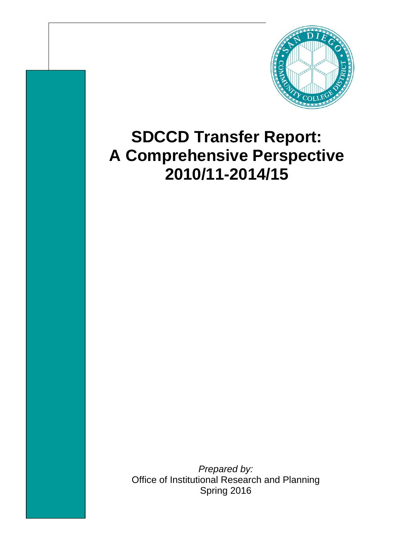

## **SDCCD Transfer Report: A Comprehensive Perspective 2010/11-2014/15**

*Prepared by:*  Office of Institutional Research and Planning Spring 2016